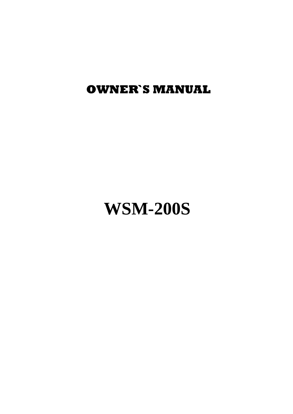**OWNER`S MANUAL**

# **WSM-200S**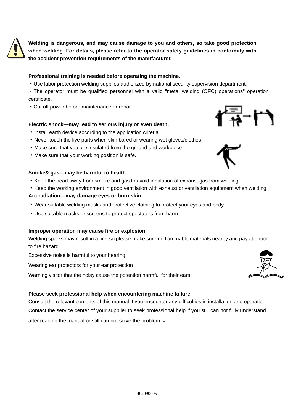

**Welding is dangerous, and may cause damage to you and others, so take good protection when welding. For details, please refer to the operator safety guidelines in conformity with the accident prevention requirements of the manufacturer.**

# **Professional training is needed before operating the machine.**

·Use labor protection welding supplies authorized by national security supervision department.

·The operator must be qualified personnel with a valid "metal welding (OFC) operations" operation certificate.

·Cut off power before maintenance or repair.

## **Electric shock—may lead to serious injury or even death.**

- ·Install earth device according to the application criteria.
- ·Never touch the live parts when skin bared or wearing wet gloves/clothes.
- ·Make sure that you are insulated from the ground and workpiece.
- ·Make sure that your working position is safe.

## **Smoke& gas—may be harmful to health.**

·Keep the head away from smoke and gas to avoid inhalation of exhaust gas from welding.

·Keep the working environment in good ventilation with exhaust or ventilation equipment when welding.

## **Arc radiation—may damage eyes or burn skin.**

- ·Wear suitable welding masks and protective clothing to protect your eyes and body
- ·Use suitable masks or screens to protect spectators from harm.

### **Improper operation may cause fire or explosion.**

Welding sparks may result in a fire, so please make sure no flammable materials nearby and pay attention to fire hazard.

Excessive noise is harmful to your hearing

Wearing ear protectors for your ear protection

Warning visitor that the noisy cause the potention harmful for their ears

### **Please seek professional help when encountering machine failure.**

Consult the relevant contents of this manual If you encounter any difficulties in installation and operation. Contact the service center of your supplier to seek professional help if you still can not fully understand

after reading the manual or still can not solve the problem 。





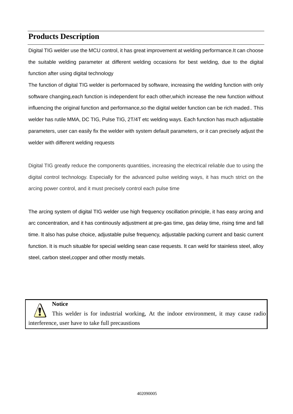# **Products Description**

Digital TIG welder use the MCU control, it has great improvement at welding performance.It can choose the suitable welding parameter at different welding occasions for best welding, due to the digital function after using digital technology

The function of digital TIG welder is performaced by software, increasing the welding function with only software changing,each function is independent for each other,which increase the new function without influencing the original function and performance,so the digital welder function can be rich maded.. This welder has rutile MMA, DC TIG, Pulse TIG, 2T/4T etc welding ways. Each function has much adjustable parameters, user can easily fix the welder with system default parameters, or it can precisely adjust the welder with different welding requests

Digital TIG greatly reduce the components quantities, increasing the electrical reliable due to using the digital control technology. Especially for the advanced pulse welding ways, it has much strict on the arcing power control, and it must precisely control each pulse time

The arcing system of digital TIG welder use high frequency oscillation principle, it has easy arcing and arc concentration, and it has continously adjustment at pre-gas time, gas delay time, rising time and fall time. It also has pulse choice, adjustable pulse frequency, adjustable packing current and basic current function. It is much situable for special welding sean case requests. It can weld for stainless steel, alloy steel, carbon steel,copper and other mostly metals.

**Notice**

This welder is for industrial working, At the indoor environment, it may cause radio interference, user have to take full precaustions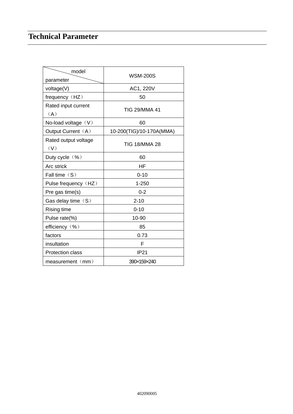# **Technical Parameter**

| model                       |                          |  |
|-----------------------------|--------------------------|--|
| parameter                   | <b>WSM-200S</b>          |  |
| voltage(V)                  | AC1, 220V                |  |
| frequency (HZ)              | 50                       |  |
| Rated input current         | <b>TIG 29/MMA 41</b>     |  |
| (A)                         |                          |  |
| No-load voltage $(V)$       | 60                       |  |
| Output Current (A)          | 10-200(TIG)/10-170A(MMA) |  |
| Rated output voltage<br>(V) | <b>TIG 18/MMA 28</b>     |  |
| Duty cycle $(\%)$           | 60                       |  |
| Arc strick                  | ΗF                       |  |
| Fall time $(S)$             | $0 - 10$                 |  |
| Pulse frequency (HZ)        | $1 - 250$                |  |
| Pre gas time(s)             | $0 - 2$                  |  |
| Gas delay time $(S)$        | $2 - 10$                 |  |
| Rising time                 | $0 - 10$                 |  |
| Pulse rate(%)               | 10-90                    |  |
| efficiency (%)              | 85                       |  |
| factors                     | 0.73                     |  |
| insultation                 | F                        |  |
| <b>Protection class</b>     | <b>IP21</b>              |  |
| measurement (mm)            | 390×159×240              |  |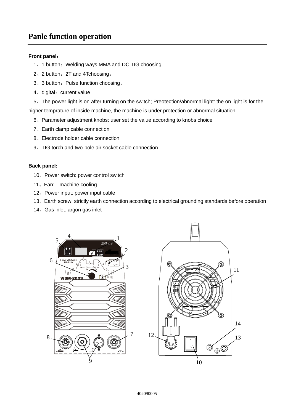# **Panle function operation**

# **Front panel**:

- 1、1 button: Welding ways MMA and DC TIG choosing
- 、2 button:2T and 4Tchoosing。
- 3、3 button: Pulse function choosing。
- 4、digital: current value

、The power light is on after turning on the switch; Preotection/abnormal light: the on light is for the higher temprature of inside machine, the machine is under protection or abnormal situation

、Parameter adjustment knobs: user set the value according to knobs choice

- 、Earth clamp cable connection
- 、Electrode holder cable connection
- 、TIG torch and two-pole air socket cable connection

### **Back panel:**

- 、Power switch: power control switch
- 、Fan: machine cooling
- 、Power input: power input cable
- 、Earth screw: strictly earth connection according to electrical grounding standards before operation
- 、Gas inlet: argon gas inlet



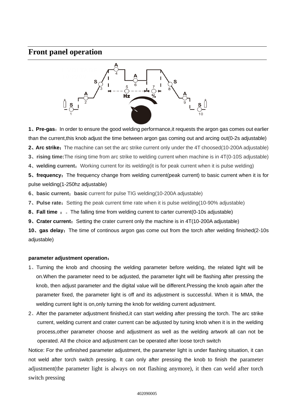# **Front panel operation**



**1**、**Pre-gas**:In order to ensure the good welding performance,it requests the argon gas comes out earlier than the current,this knob adjust the time between argon gas coming out and arcing out(0-2s adjustable)

**2. Arc strike:** The machine can set the arc strike current only under the 4T choosed(10-200A adjustable)

**3**、**rising time:**The rising time from arc strike to welding current when machine is in 4T(0-10S adjustable)

**4**、**welding current**:Working current for its welding(it is for peak current when it is pulse welding)

**5**, **frequency:** The frequency change from welding current(peak current) to basic current when it is for pulse welding(1-250hz adjustable)

**6**、**basic current**:**basic** current for pulse TIG welding(10-200A adjustable)

**7**. Pulse rate: Setting the peak current time rate when it is pulse welding(10-90% adjustable)

**8**、**Fall time** :。The falling time from welding current to carter current(0-10s adjustable)

**9. Crater current:** Setting the crater current only the machine is in 4T(10-200A adjustable)

**10**、**gas delay**:The time of continous argon gas come out from the torch after welding finished(2-10s adjustable)

### **parameter adjustment operation**:

- 1、Turning the knob and choosing the welding parameter before welding, the related light will be on.When the parameter need to be adjusted, the parameter light will be flashing after pressing the knob, then adjust parameter and the digital value will be different.Pressing the knob again after the parameter fixed, the parameter light is off and its adjustment is successful. When it is MMA, the welding current light is on,only turning the knob for welding current adjustment.
- 2、After the parameter adjustment finished,it can start welding after pressing the torch. The arc strike current, welding current and crater current can be adjusted by tuning knob when it is in the welding process,other parameter choose and adjustment as well as the welding artwork all can not be operated. All the choice and adjustment can be operated after loose torch switch

Notice: For the unfinished parameter adjustment, the parameter light is under flashing situation, it can not weld after torch switch pressing. It can only after pressing the knob to finish the parameter adjustment(the parameter light is always on not flashing anymore), it then can weld after torch switch pressing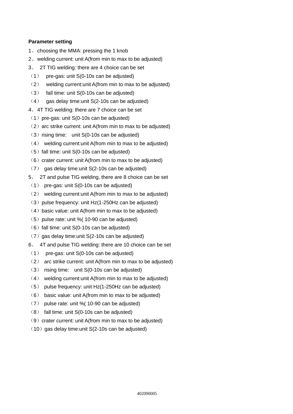# **Parameter setting**

- 1、choosing the MMA: pressing the 1 knob
- 2、welding current: unit A(from min to max to be adjusted)
- 3、 2T TIG welding: there are 4 choice can be set
- (1) pre-gas: unit S(0-10s can be adjusted)
- (2) welding current:unit A(from min to max to be adjusted)
- (3) fall time: unit S(0-10s can be adjusted)
- $(4)$  gas delay time: unit S(2-10s can be adjusted)
- 4、4T TIG welding: there are 7 choice can be set
- $(1)$  pre-gas: unit S(0-10s can be adjusted)
- $(2)$  arc strike current: unit A(from min to max to be adjusted)
- $(3)$  rising time: unit S(0-10s can be adjusted)
- (4) welding current:unit A(from min to max to be adjusted)
- $(5)$  fall time: unit S(0-10s can be adjusted)
- $(6)$  crater current: unit A(from min to max to be adjusted)
- (7) gas delay time:unit S(2-10s can be adjusted)
- 5、 2T and pulse TIG welding, there are 8 choice can be set
- (1) pre-gas: unit S(0-10s can be adjusted)
- (2) welding current:unit A(from min to max to be adjusted)
- $(3)$  pulse frequency: unit Hz(1-250Hz can be adjusted)
- $(4)$  basic value: unit A(from min to max to be adjusted)
- $(5)$  pulse rate: unit % $(10-90 \text{ can be adjusted})$
- $(6)$  fall time: unit S(0-10s can be adjusted)
- $(7)$  gas delay time: unit S(2-10s can be adjusted)
- 6、 4T and pulse TIG welding: there are 10 choice can be set
- (1) pre-gas: unit S(0-10s can be adjusted)
- (2) arc strike current: unit A(from min to max to be adjusted)
- (3) rising time: unit S(0-10s can be adjusted)
- (4) welding current:unit A(from min to max to be adjusted)
- (5) pulse frequency: unit Hz(1-250Hz can be adjusted)
- (6) basic value: unit A(from min to max to be adjusted)
- (7) pulse rate: unit %( 10-90 can be adjusted)
- (8) fall time: unit S(0-10s can be adjusted)
- $(9)$  crater current: unit A(from min to max to be adjusted)
- $(10)$  gas delay time: unit S(2-10s can be adjusted)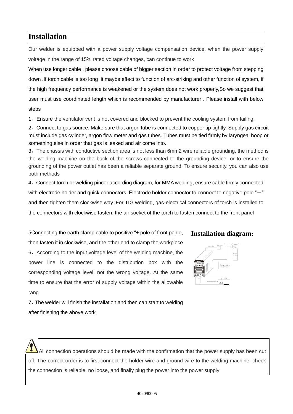# **Installation**

Our welder is equipped with a power supply voltage compensation device, when the power supply voltage in the range of 15% rated voltage changes, can continue to work

When use longer cable , please choose cable of bigger section in order to protect voltage from stepping down .If torch cable is too long ,it maybe effect to function of arc-striking and other function of system, if the high frequency performance is weakened or the system does not work properly,So we suggest that user must use coordinated length which is recommended by manufacturer . Please install with below steps

1、Ensure the ventilator vent is not covered and blocked to prevent the cooling system from failing.

2、Connect to gas source: Make sure that argon tube is connected to copper tip tightly. Supply gas circuit must include gas cylinder, argon flow meter and gas tubes. Tubes must be tied firmly by laryngeal hoop or something else in order that gas is leaked and air come into.

3, The chassis with conductive section area is not less than 6mm2 wire reliable grounding, the method is the welding machine on the back of the screws connected to the grounding device, or to ensure the grounding of the power outlet has been a reliable separate ground. To ensure security, you can also use both methods

4、Connect torch or welding pincer according diagram, for MMA welding, ensure cable firmly connected with electrode holder and quick connectors. Electrode holder connector to connect to negative pole  $-$ ". and then tighten them clockwise way. For TIG welding, gas-electrical connectors of torch is installed to the connectors with clockwise fasten, the air socket of the torch to fasten connect to the front panel

5Connecting the earth clamp cable to positive "+ pole of front panle, then fasten it in clockwise, and the other end to clamp the workpiece 6、According to the input voltage level of the welding machine, the power line is connected to the distribution box with the corresponding voltage level, not the wrong voltage. At the same time to ensure that the error of supply voltage within the allowable rang.

**Installation diagram**:



7、The welder will finish the installation and then can start to welding after finishing the above work

All connection operations should be made with the confirmation that the power supply has been cut off. The correct order is to first connect the holder wire and ground wire to the welding machine, check the connection is reliable, no loose, and finally plug the power into the power supply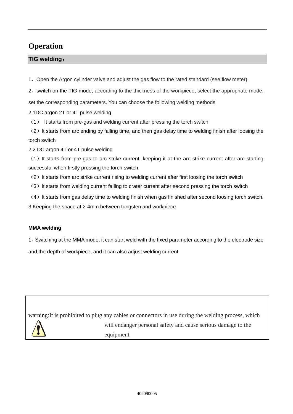# **Operation**

# **TIG welding**:

1、Open the Argon cylinder valve and adjust the gas flow to the rated standard (see flow meter).

2、switch on the TIG mode, according to the thickness of the workpiece, select the appropriate mode,

set the corresponding parameters. You can choose the following welding methods

2.1DC argon 2T or 4T pulse welding

(1) It starts from pre-gas and welding current after pressing the torch switch

(2) It starts from arc ending by falling time, and then gas delay time to welding finish after loosing the torch switch

2.2 DC argon 4T or 4T pulse welding

 $(1)$  It starts from pre-gas to arc strike current, keeping it at the arc strike current after arc starting successful when firstly pressing the torch switch

- (2) It starts from arc strike current rising to welding current after first loosing the torch switch
- (3) It starts from welding current falling to crater current after second pressing the torch switch
- $(4)$  It starts from gas delay time to welding finish when gas finished after second loosing torch switch.

3.Keeping the space at 2-4mm between tungsten and workpiece

# **MMA welding**

1、Switching at the MMA mode, it can start weld with the fixed parameter according to the electrode size

and the depth of workpiece, and it can also adjust welding current

warning:It is prohibited to plug any cables or connectors in use during the welding process, which will endanger personal safety and cause serious damage to the equipment.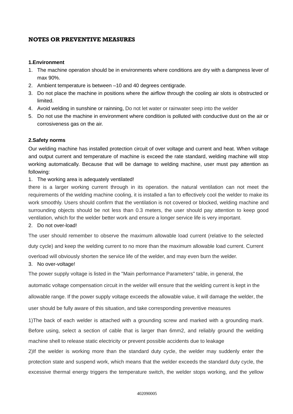# **NOTES OR PREVENTIVE MEASURES**

## **1.Environment**

- 1. The machine operation should be in environments where conditions are dry with a dampness lever of max 90%.
- 2. Ambient temperature is between –10 and 40 degrees centigrade.
- 3. Do not place the machine in positions where the airflow through the cooling air slots is obstructed or limited.
- 4. Avoid welding in sunshine or rainning, Do not let water or rainwater seep into the welder
- 5. Do not use the machine in environment where condition is polluted with conductive dust on the air or corrosiveness gas on the air.

# **2.Safety norms**

Our welding machine has installed protection circuit of over voltage and current and heat. When voltage and output current and temperature of machine is exceed the rate standard, welding machine will stop working automatically. Because that will be damage to welding machine, user must pay attention as following:

1. The working area is adequately ventilated!

there is a larger working current through in its operation. the natural ventilation can not meet the requirements of the welding machine cooling, it is installed a fan to effectively cool the welder to make its work smoothly. Users should confirm that the ventilation is not covered or blocked, welding machine and surrounding objects should be not less than 0.3 meters, the user should pay attention to keep good ventilation, which for the welder better work and ensure a longer service life is very important.

# 2. Do not over-load!

The user should remember to observe the maximum allowable load current (relative to the selected duty cycle) and keep the welding current to no more than the maximum allowable load current. Current

overload will obviously shorten the service life of the welder, and may even burn the welder.

3. No over-voltage!

The power supply voltage is listed in the "Main performance Parameters" table, in general, the

automatic voltage compensation circuit in the welder will ensure that the welding current is kept in the

allowable range. If the power supply voltage exceeds the allowable value, it will damage the welder, the

user should be fully aware of this situation, and take corresponding preventive measures

1)The back of each welder is attached with a grounding screw and marked with a grounding mark. Before using, select a section of cable that is larger than 6mm2, and reliably ground the welding machine shell to release static electricity or prevent possible accidents due to leakage

2)If the welder is working more than the standard duty cycle, the welder may suddenly enter the protection state and suspend work, which means that the welder exceeds the standard duty cycle, the excessive thermal energy triggers the temperature switch, the welder stops working, and the yellow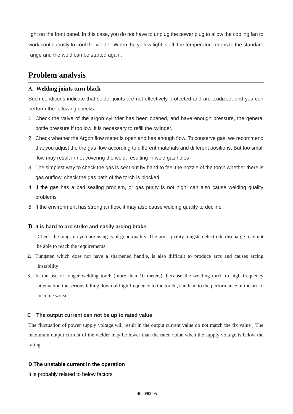light on the front panel. In this case, you do not have to unplug the power plug to allow the cooling fan to work continuously to cool the welder. When the yellow light is off, the temperature drops to the standard range and the weld can be started again.

# **Problem analysis**

# **A. Welding joints turn black**

Such conditions indicate that solder joints are not effectively protected and are oxidized, and you can perform the following checks:

- 1. Check the valve of the argon cylinder has been opened, and have enough pressure, the general bottle pressure if too low, it is necessary to refill the cylinder.
- 2. Check whether the Argon flow meter is open and has enough flow. To conserve gas, we recommend that you adjust the the gas flow according to different materials and different positions. But too small flow may result in not covering the weld, resulting in weld gas holes
- 3. The simplest way to check the gas is sent out by hand to feel the nozzle of the torch whether there is gas outflow, check the gas path of the torch is blocked.
- 4. If the gas has a bad sealing problem, or gas purity is not high, can also cause welding quality problems
- 5. If the environment has strong air flow, it may also cause welding quality to decline.

### **B. It is hard to arc strike and easily arcing brake**

- 1. Check the tungsten you are using is of good quality. The poor quality tungsten electrode discharge may not be able to reach the requirements
- 2. Tungsten which does not have a sharpened handle, is also difficult to produce arcs and causes arcing instability
- 3. In the use of longer welding torch (more than 10 meters), because the welding torch to high frequency attenuation the serious falling down of high frequency to the torch , can lead to the performance of the arc to become worse.

## **C The output current can not be up to rated value**

The fluctuation of power supply voltage will result in the output current value do not match the fix value ; The maximum output current of the welder may be lower than the rated value when the supply voltage is below the rating.

### **D The unstable current in the operation**

It is probably related to below factors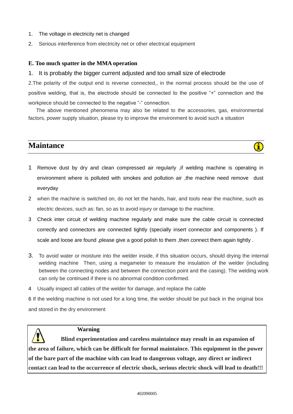- 1. The voltage in electricity net is changed
- 2. Serious interference from electricity net or other electrical equipment

# **E. Too much spatter in the MMA operation**

# 1. It is probably the bigger current adjusted and too small size of electrode

2.The polarity of the output end is reverse connected,, in the normal process should be the use of positive welding, that is, the electrode should be connected to the positive "+" connection and the workpiece should be connected to the negative "-" connection.

The above mentioned phenomena may also be related to the accessories, gas, environmental factors, power supply situation, please try to improve the environment to avoid such a situation



- 1 Remove dust by dry and clean compressed air regularly ,if welding machine is operating in environment where is polluted with smokes and pollution air ,the machine need remove dust everyday
- 2 when the machine is switched on, do not let the hands, hair, and tools near the machine, such as electric devices, such as: fan, so as to avoid injury or damage to the machine.
- 3 Check inter circuit of welding machine regularly and make sure the cable circuit is connected correctly and connectors are connected tightly (specially insert connector and components ). If scale and loose are found ,please give a good polish to them , then connect them again tightly .
- 3. To avoid water or moisture into the welder inside, if this situation occurs, should drying the internal welding machine Then, using a megameter to measure the insulation of the welder (including between the connecting nodes and between the connection point and the casing). The welding work can only be continued if there is no abnormal condition confirmed.
- 4 Usually inspect all cables of the welder for damage, and replace the cable

6 If the welding machine is not used for a long time, the welder should be put back in the original box and stored in the dry environment

# **Warning**

 **Blind experimentation and careless maintaince may result in an expansion of the area of failure, which can be difficult for formal maintaince. This equipment in the power of the bare part of the machine with can lead to dangerous voltage, any direct or indirect contact can lead to the occurrence of electric shock, serious electric shock will lead to death!!!**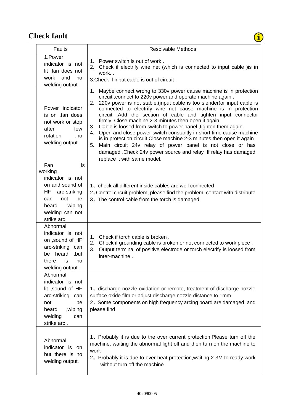# **Check fault**

| heck fault                                                                                                                                                    |                                                                                                                                                                                                                                                                                                                                                                                                                                                                                                                                                                                                                                                                                                                                                                                                                           |
|---------------------------------------------------------------------------------------------------------------------------------------------------------------|---------------------------------------------------------------------------------------------------------------------------------------------------------------------------------------------------------------------------------------------------------------------------------------------------------------------------------------------------------------------------------------------------------------------------------------------------------------------------------------------------------------------------------------------------------------------------------------------------------------------------------------------------------------------------------------------------------------------------------------------------------------------------------------------------------------------------|
| <b>Faults</b>                                                                                                                                                 | <b>Resolvable Methods</b>                                                                                                                                                                                                                                                                                                                                                                                                                                                                                                                                                                                                                                                                                                                                                                                                 |
| 1.Power<br>indicator is not<br>lit, fan does not<br>work and<br>no<br>welding output                                                                          | 1. Power switch is out of work.<br>2. Check if electrify wire net (which is connected to input cable ) is in<br>work<br>3. Check if input cable is out of circuit.                                                                                                                                                                                                                                                                                                                                                                                                                                                                                                                                                                                                                                                        |
| Power indicator<br>is on , fan does<br>not work or stop<br>after<br>few<br>rotation<br>,no<br>welding output                                                  | Maybe connect wrong to 330v power cause machine is in protection<br>1.<br>circuit, connect to 220v power and operate machine again.<br>220v power is not stable, (input cable is too slender) or input cable is<br>2.<br>connected to electrify wire net cause machine is in protection<br>circuit .Add the section of cable and tighten input connector<br>firmly . Close machine 2-3 minutes then open it again.<br>Cable is loosed from switch to power panel , tighten them again.<br>3.<br>Open and close power switch constantly in short time cause machine<br>4.<br>is in protection circuit Close machine 2-3 minutes then open it again.<br>Main circuit 24v relay of power panel is not close or has<br>5.<br>damaged . Check 24v power source and relay . If relay has damaged<br>replace it with same model. |
| Fan<br>is<br>working,<br>indicator is not<br>on and sound of<br>HF<br>arc-striking<br>not<br>be<br>can<br>heard<br>, wiping<br>welding can not<br>strike arc. | 1, check all different inside cables are well connected<br>2. Control circuit problem, please find the problem, contact with distribute<br>3. The control cable from the torch is damaged                                                                                                                                                                                                                                                                                                                                                                                                                                                                                                                                                                                                                                 |
| Abnormal<br>indicator is not<br>on ,sound of HF<br>arc-striking can<br>heard<br>,but<br>be<br>there<br>is<br>no<br>welding output.                            | 1. Check if torch cable is broken.<br>2. Check if grounding cable is broken or not connected to work piece.<br>3.<br>Output terminal of positive electrode or torch electrify is loosed from<br>inter-machine.                                                                                                                                                                                                                                                                                                                                                                                                                                                                                                                                                                                                            |
| Abnormal<br>indicator is not<br>lit, sound of HF<br>arc-striking can<br>not<br>be<br>heard<br>,wiping<br>welding<br>can<br>strike arc.                        | 1. discharge nozzle oxidation or remote, treatment of discharge nozzle<br>surface oxide film or adjust discharge nozzle distance to 1mm<br>2. Some components on high frequency arcing board are damaged, and<br>please find                                                                                                                                                                                                                                                                                                                                                                                                                                                                                                                                                                                              |
| Abnormal<br>indicator is on<br>but there is no<br>welding output.                                                                                             | 1. Probably it is due to the over current protection. Please turn off the<br>machine, waiting the abnormal light off and then turn on the machine to<br>work<br>2. Probably it is due to over heat protection, waiting 2-3M to ready work<br>without turn off the machine                                                                                                                                                                                                                                                                                                                                                                                                                                                                                                                                                 |